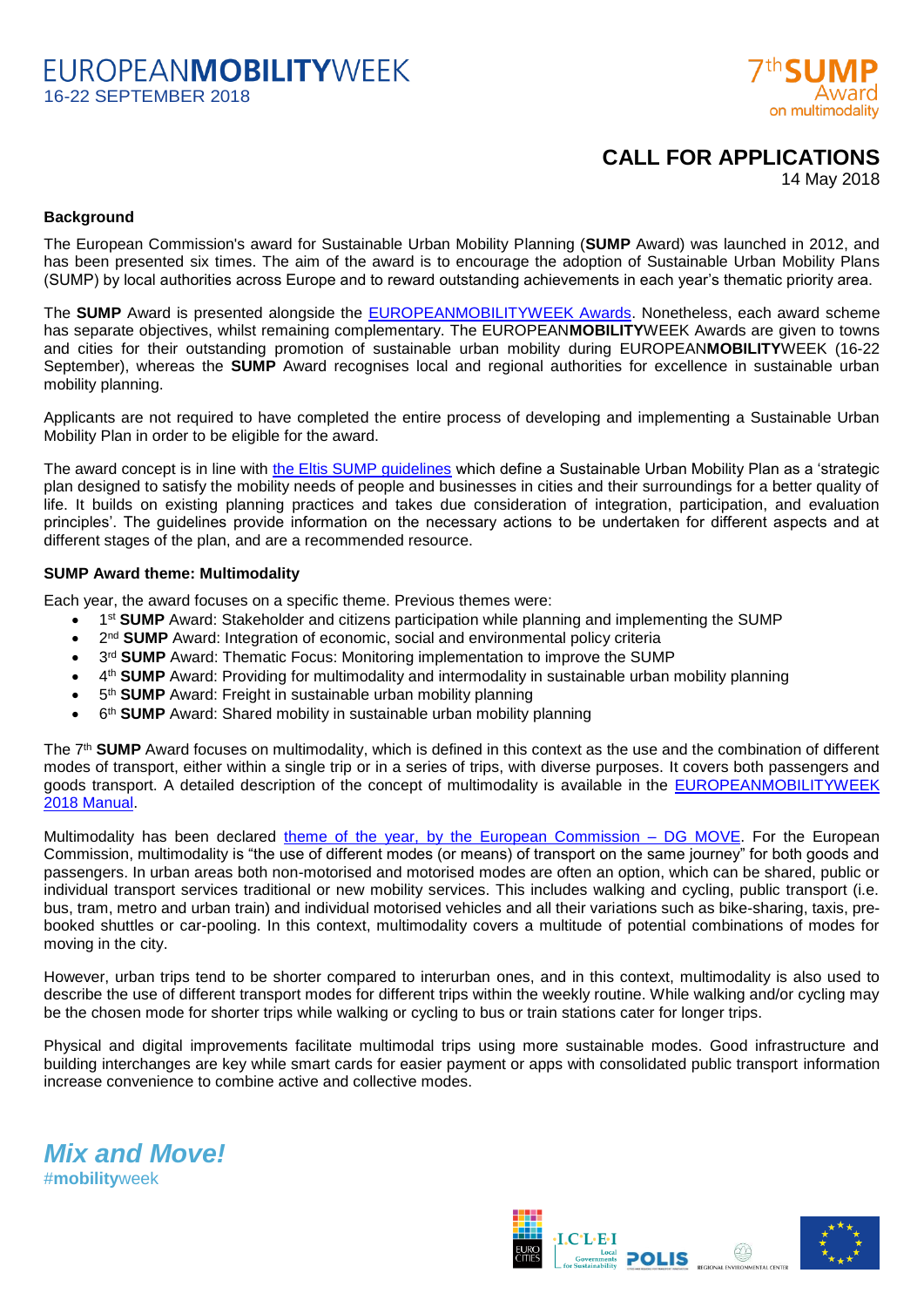# **FUROPFANMOBILITYWFFK** 16-22 SEPTEMBER 2018



## **CALL FOR APPLICATIONS**

14 May 2018

## **Background**

The European Commission's award for Sustainable Urban Mobility Planning (**SUMP** Award) was launched in 2012, and has been presented six times. The aim of the award is to encourage the adoption of Sustainable Urban Mobility Plans (SUMP) by local authorities across Europe and to reward outstanding achievements in each year's thematic priority area.

The **SUMP** Award is presented alongside the **EUROPEANMOBILITYWEEK Awards**. Nonetheless, each award scheme has separate objectives, whilst remaining complementary. The EUROPEAN**MOBILITY**WEEK Awards are given to towns and cities for their outstanding promotion of sustainable urban mobility during EUROPEAN**MOBILITY**WEEK (16-22 September), whereas the **SUMP** Award recognises local and regional authorities for excellence in sustainable urban mobility planning.

Applicants are not required to have completed the entire process of developing and implementing a Sustainable Urban Mobility Plan in order to be eligible for the award.

The award concept is in line with [the Eltis SUMP guidelines](http://www.eltis.org/sites/eltis/files/sump_guidelines_en.pdf) which define a Sustainable Urban Mobility Plan as a 'strategic plan designed to satisfy the mobility needs of people and businesses in cities and their surroundings for a better quality of life. It builds on existing planning practices and takes due consideration of integration, participation, and evaluation principles'. The guidelines provide information on the necessary actions to be undertaken for different aspects and at different stages of the plan, and are a recommended resource.

## **SUMP Award theme: Multimodality**

Each year, the award focuses on a specific theme. Previous themes were:

- **1st SUMP** Award: Stakeholder and citizens participation while planning and implementing the SUMP
- **2<sup>nd</sup> SUMP** Award: Integration of economic, social and environmental policy criteria
- **3<sup>rd</sup> SUMP** Award: Thematic Focus: Monitoring implementation to improve the SUMP
- **4<sup>th</sup> SUMP** Award: Providing for multimodality and intermodality in sustainable urban mobility planning
- 5 th **SUMP** Award: Freight in sustainable urban mobility planning
- 6<sup>th</sup> **SUMP** Award: Shared mobility in sustainable urban mobility planning

The 7<sup>th</sup> SUMP Award focuses on multimodality, which is defined in this context as the use and the combination of different modes of transport, either within a single trip or in a series of trips, with diverse purposes. It covers both passengers and goods transport. A detailed description of the concept of multimodality is available in the **EUROPEANMOBILITYWEEK** [2018 Manual.](http://www.mobilityweek.eu/campaign-resources/)

Multimodality has been declared [theme of the year, by the](https://ec.europa.eu/transport/themes/logistics-and-multimodal-transport/2018-year-multimodality_en) European Commission - DG MOVE. For the European Commission, multimodality is "the use of different modes (or means) of transport on the same journey" for both goods and passengers. In urban areas both non-motorised and motorised modes are often an option, which can be shared, public or individual transport services traditional or new mobility services. This includes walking and cycling, public transport (i.e. bus, tram, metro and urban train) and individual motorised vehicles and all their variations such as bike-sharing, taxis, prebooked shuttles or car-pooling. In this context, multimodality covers a multitude of potential combinations of modes for moving in the city.

However, urban trips tend to be shorter compared to interurban ones, and in this context, multimodality is also used to describe the use of different transport modes for different trips within the weekly routine. While walking and/or cycling may be the chosen mode for shorter trips while walking or cycling to bus or train stations cater for longer trips.

Physical and digital improvements facilitate multimodal trips using more sustainable modes. Good infrastructure and building interchanges are key while smart cards for easier payment or apps with consolidated public transport information increase convenience to combine active and collective modes.

*Mix and Move!* #**mobility**week



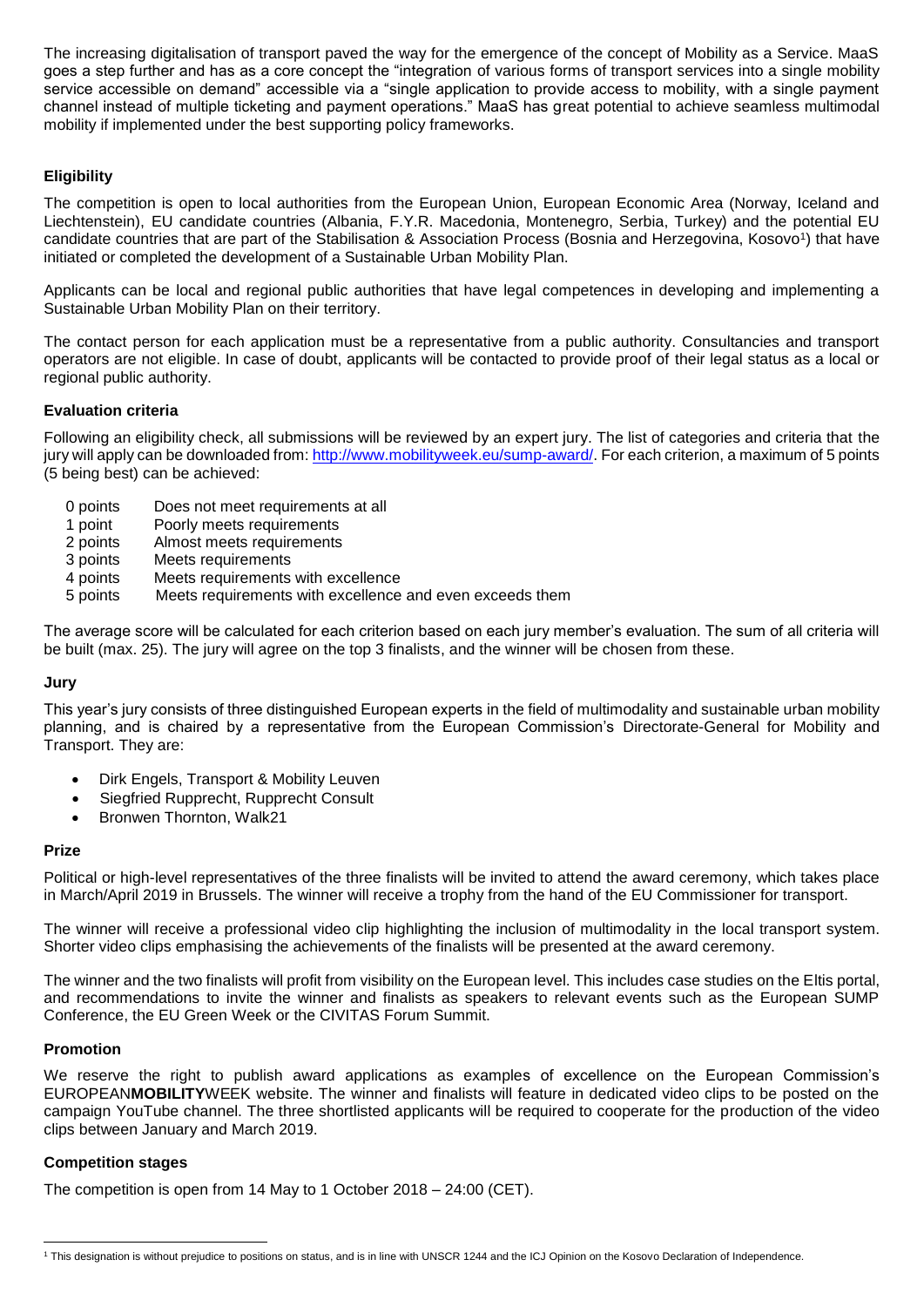The increasing digitalisation of transport paved the way for the emergence of the concept of Mobility as a Service. MaaS goes a step further and has as a core concept the "integration of various forms of transport services into a single mobility service accessible on demand" accessible via a "single application to provide access to mobility, with a single payment channel instead of multiple ticketing and payment operations." MaaS has great potential to achieve seamless multimodal mobility if implemented under the best supporting policy frameworks.

## **Eligibility**

The competition is open to local authorities from the European Union, European Economic Area (Norway, Iceland and Liechtenstein), EU candidate countries (Albania, F.Y.R. Macedonia, Montenegro, Serbia, Turkey) and the potential EU candidate countries that are part of the Stabilisation & Association Process (Bosnia and Herzegovina, Kosovo1) that have initiated or completed the development of a Sustainable Urban Mobility Plan.

Applicants can be local and regional public authorities that have legal competences in developing and implementing a Sustainable Urban Mobility Plan on their territory.

The contact person for each application must be a representative from a public authority. Consultancies and transport operators are not eligible. In case of doubt, applicants will be contacted to provide proof of their legal status as a local or regional public authority.

## **Evaluation criteria**

Following an eligibility check, all submissions will be reviewed by an expert jury. The list of categories and criteria that the jury will apply can be downloaded from[: http://www.mobilityweek.eu/sump-award/.](http://www.mobilityweek.eu/sump-award/) For each criterion, a maximum of 5 points (5 being best) can be achieved:

- 0 points Does not meet requirements at all<br>1 point Poorly meets requirements
- Poorly meets requirements
- 2 points Almost meets requirements
- 3 points Meets requirements
- 4 points Meets requirements with excellence
- 5 points Meets requirements with excellence and even exceeds them

The average score will be calculated for each criterion based on each jury member's evaluation. The sum of all criteria will be built (max. 25). The jury will agree on the top 3 finalists, and the winner will be chosen from these.

#### **Jury**

This year's jury consists of three distinguished European experts in the field of multimodality and sustainable urban mobility planning, and is chaired by a representative from the European Commission's Directorate-General for Mobility and Transport. They are:

- Dirk Engels, Transport & Mobility Leuven
- Siegfried Rupprecht, Rupprecht Consult
- Bronwen Thornton, Walk21

## **Prize**

Political or high-level representatives of the three finalists will be invited to attend the award ceremony, which takes place in March/April 2019 in Brussels. The winner will receive a trophy from the hand of the EU Commissioner for transport.

The winner will receive a professional video clip highlighting the inclusion of multimodality in the local transport system. Shorter video clips emphasising the achievements of the finalists will be presented at the award ceremony.

The winner and the two finalists will profit from visibility on the European level. This includes case studies on the Eltis portal, and recommendations to invite the winner and finalists as speakers to relevant events such as the European SUMP Conference, the EU Green Week or the CIVITAS Forum Summit.

## **Promotion**

We reserve the right to publish award applications as examples of excellence on the European Commission's EUROPEAN**MOBILITY**WEEK website. The winner and finalists will feature in dedicated video clips to be posted on the campaign YouTube channel. The three shortlisted applicants will be required to cooperate for the production of the video clips between January and March 2019.

## **Competition stages**

The competition is open from 14 May to 1 October 2018 – 24:00 (CET).

 $\overline{a}$ <sup>1</sup> This designation is without prejudice to positions on status, and is in line with UNSCR 1244 and the ICJ Opinion on the Kosovo Declaration of Independence.